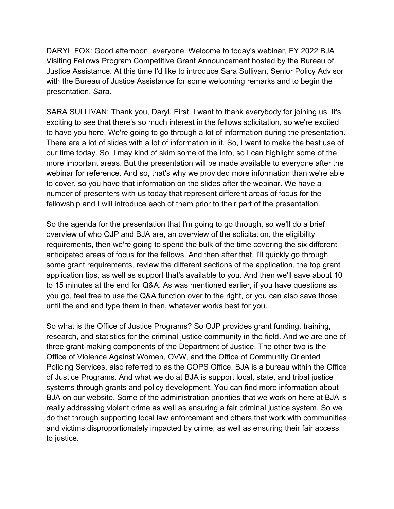DARYL FOX: Good afternoon, everyone. Welcome to today's webinar, FY 2022 BJA Visiting Fellows Program Competitive Grant Announcement hosted by the Bureau of Justice Assistance. At this time I'd like to introduce Sara Sullivan, Senior Policy Advisor with the Bureau of Justice Assistance for some welcoming remarks and to begin the presentation. Sara.

SARA SULLIVAN: Thank you, Daryl. First, I want to thank everybody for joining us. It's exciting to see that there's so much interest in the fellows solicitation, so we're excited to have you here. We're going to go through a lot of information during the presentation. There are a lot of slides with a lot of information in it. So, I want to make the best use of our time today. So, I may kind of skim some of the info, so I can highlight some of the more important areas. But the presentation will be made available to everyone after the webinar for reference. And so, that's why we provided more information than we're able to cover, so you have that information on the slides after the webinar. We have a number of presenters with us today that represent different areas of focus for the fellowship and I will introduce each of them prior to their part of the presentation.

So the agenda for the presentation that I'm going to go through, so we'll do a brief overview of who OJP and BJA are, an overview of the solicitation, the eligibility requirements, then we're going to spend the bulk of the time covering the six different anticipated areas of focus for the fellows. And then after that, I'll quickly go through some grant requirements, review the different sections of the application, the top grant application tips, as well as support that's available to you. And then we'll save about 10 to 15 minutes at the end for Q&A. As was mentioned earlier, if you have questions as you go, feel free to use the Q&A function over to the right, or you can also save those until the end and type them in then, whatever works best for you.

So what is the Office of Justice Programs? So OJP provides grant funding, training, research, and statistics for the criminal justice community in the field. And we are one of three grant-making components of the Department of Justice. The other two is the Office of Violence Against Women, OVW, and the Office of Community Oriented Policing Services, also referred to as the COPS Office. BJA is a bureau within the Office of Justice Programs. And what we do at BJA is support local, state, and tribal justice systems through grants and policy development. You can find more information about BJA on our website. Some of the administration priorities that we work on here at BJA is really addressing violent crime as well as ensuring a fair criminal justice system. So we do that through supporting local law enforcement and others that work with communities and victims disproportionately impacted by crime, as well as ensuring their fair access to justice.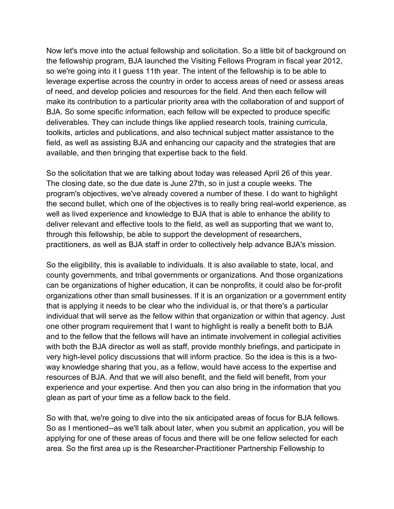Now let's move into the actual fellowship and solicitation. So a little bit of background on the fellowship program, BJA launched the Visiting Fellows Program in fiscal year 2012, so we're going into it I guess 11th year. The intent of the fellowship is to be able to leverage expertise across the country in order to access areas of need or assess areas of need, and develop policies and resources for the field. And then each fellow will make its contribution to a particular priority area with the collaboration of and support of BJA. So some specific information, each fellow will be expected to produce specific deliverables. They can include things like applied research tools, training curricula, toolkits, articles and publications, and also technical subject matter assistance to the field, as well as assisting BJA and enhancing our capacity and the strategies that are available, and then bringing that expertise back to the field.

So the solicitation that we are talking about today was released April 26 of this year. The closing date, so the due date is June 27th, so in just a couple weeks. The program's objectives, we've already covered a number of these. I do want to highlight the second bullet, which one of the objectives is to really bring real-world experience, as well as lived experience and knowledge to BJA that is able to enhance the ability to deliver relevant and effective tools to the field, as well as supporting that we want to, through this fellowship, be able to support the development of researchers, practitioners, as well as BJA staff in order to collectively help advance BJA's mission.

So the eligibility, this is available to individuals. It is also available to state, local, and county governments, and tribal governments or organizations. And those organizations can be organizations of higher education, it can be nonprofits, it could also be for-profit organizations other than small businesses. If it is an organization or a government entity that is applying it needs to be clear who the individual is, or that there's a particular individual that will serve as the fellow within that organization or within that agency. Just one other program requirement that I want to highlight is really a benefit both to BJA and to the fellow that the fellows will have an intimate involvement in collegial activities with both the BJA director as well as staff, provide monthly briefings, and participate in very high-level policy discussions that will inform practice. So the idea is this is a twoway knowledge sharing that you, as a fellow, would have access to the expertise and resources of BJA. And that we will also benefit, and the field will benefit, from your experience and your expertise. And then you can also bring in the information that you glean as part of your time as a fellow back to the field.

So with that, we're going to dive into the six anticipated areas of focus for BJA fellows. So as I mentioned--as we'll talk about later, when you submit an application, you will be applying for one of these areas of focus and there will be one fellow selected for each area. So the first area up is the Researcher-Practitioner Partnership Fellowship to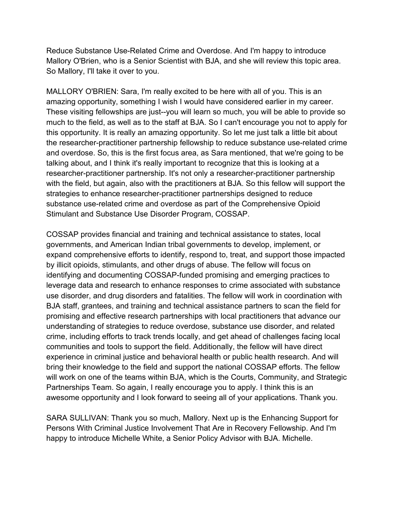Reduce Substance Use-Related Crime and Overdose. And I'm happy to introduce Mallory O'Brien, who is a Senior Scientist with BJA, and she will review this topic area. So Mallory, I'll take it over to you.

MALLORY O'BRIEN: Sara, I'm really excited to be here with all of you. This is an amazing opportunity, something I wish I would have considered earlier in my career. These visiting fellowships are just--you will learn so much, you will be able to provide so much to the field, as well as to the staff at BJA. So I can't encourage you not to apply for this opportunity. It is really an amazing opportunity. So let me just talk a little bit about the researcher-practitioner partnership fellowship to reduce substance use-related crime and overdose. So, this is the first focus area, as Sara mentioned, that we're going to be talking about, and I think it's really important to recognize that this is looking at a researcher-practitioner partnership. It's not only a researcher-practitioner partnership with the field, but again, also with the practitioners at BJA. So this fellow will support the strategies to enhance researcher-practitioner partnerships designed to reduce substance use-related crime and overdose as part of the Comprehensive Opioid Stimulant and Substance Use Disorder Program, COSSAP.

COSSAP provides financial and training and technical assistance to states, local governments, and American Indian tribal governments to develop, implement, or expand comprehensive efforts to identify, respond to, treat, and support those impacted by illicit opioids, stimulants, and other drugs of abuse. The fellow will focus on identifying and documenting COSSAP-funded promising and emerging practices to leverage data and research to enhance responses to crime associated with substance use disorder, and drug disorders and fatalities. The fellow will work in coordination with BJA staff, grantees, and training and technical assistance partners to scan the field for promising and effective research partnerships with local practitioners that advance our understanding of strategies to reduce overdose, substance use disorder, and related crime, including efforts to track trends locally, and get ahead of challenges facing local communities and tools to support the field. Additionally, the fellow will have direct experience in criminal justice and behavioral health or public health research. And will bring their knowledge to the field and support the national COSSAP efforts. The fellow will work on one of the teams within BJA, which is the Courts, Community, and Strategic Partnerships Team. So again, I really encourage you to apply. I think this is an awesome opportunity and I look forward to seeing all of your applications. Thank you.

SARA SULLIVAN: Thank you so much, Mallory. Next up is the Enhancing Support for Persons With Criminal Justice Involvement That Are in Recovery Fellowship. And I'm happy to introduce Michelle White, a Senior Policy Advisor with BJA. Michelle.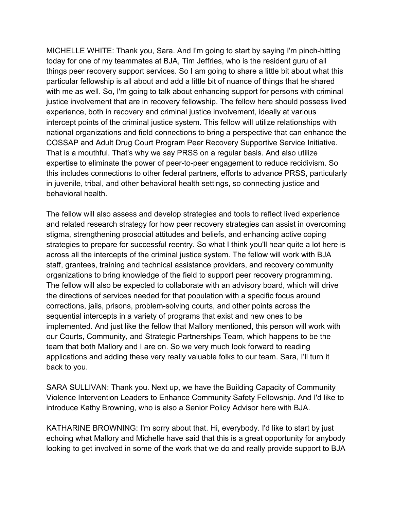MICHELLE WHITE: Thank you, Sara. And I'm going to start by saying I'm pinch-hitting today for one of my teammates at BJA, Tim Jeffries, who is the resident guru of all things peer recovery support services. So I am going to share a little bit about what this particular fellowship is all about and add a little bit of nuance of things that he shared with me as well. So, I'm going to talk about enhancing support for persons with criminal justice involvement that are in recovery fellowship. The fellow here should possess lived experience, both in recovery and criminal justice involvement, ideally at various intercept points of the criminal justice system. This fellow will utilize relationships with national organizations and field connections to bring a perspective that can enhance the COSSAP and Adult Drug Court Program Peer Recovery Supportive Service Initiative. That is a mouthful. That's why we say PRSS on a regular basis. And also utilize expertise to eliminate the power of peer-to-peer engagement to reduce recidivism. So this includes connections to other federal partners, efforts to advance PRSS, particularly in juvenile, tribal, and other behavioral health settings, so connecting justice and behavioral health.

The fellow will also assess and develop strategies and tools to reflect lived experience and related research strategy for how peer recovery strategies can assist in overcoming stigma, strengthening prosocial attitudes and beliefs, and enhancing active coping strategies to prepare for successful reentry. So what I think you'll hear quite a lot here is across all the intercepts of the criminal justice system. The fellow will work with BJA staff, grantees, training and technical assistance providers, and recovery community organizations to bring knowledge of the field to support peer recovery programming. The fellow will also be expected to collaborate with an advisory board, which will drive the directions of services needed for that population with a specific focus around corrections, jails, prisons, problem-solving courts, and other points across the sequential intercepts in a variety of programs that exist and new ones to be implemented. And just like the fellow that Mallory mentioned, this person will work with our Courts, Community, and Strategic Partnerships Team, which happens to be the team that both Mallory and I are on. So we very much look forward to reading applications and adding these very really valuable folks to our team. Sara, I'll turn it back to you.

SARA SULLIVAN: Thank you. Next up, we have the Building Capacity of Community Violence Intervention Leaders to Enhance Community Safety Fellowship. And I'd like to introduce Kathy Browning, who is also a Senior Policy Advisor here with BJA.

KATHARINE BROWNING: I'm sorry about that. Hi, everybody. I'd like to start by just echoing what Mallory and Michelle have said that this is a great opportunity for anybody looking to get involved in some of the work that we do and really provide support to BJA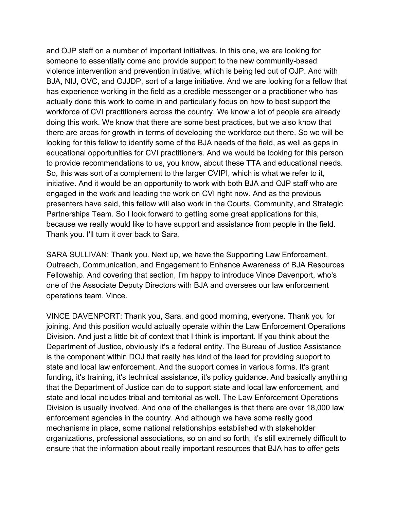and OJP staff on a number of important initiatives. In this one, we are looking for someone to essentially come and provide support to the new community-based violence intervention and prevention initiative, which is being led out of OJP. And with BJA, NIJ, OVC, and OJJDP, sort of a large initiative. And we are looking for a fellow that has experience working in the field as a credible messenger or a practitioner who has actually done this work to come in and particularly focus on how to best support the workforce of CVI practitioners across the country. We know a lot of people are already doing this work. We know that there are some best practices, but we also know that there are areas for growth in terms of developing the workforce out there. So we will be looking for this fellow to identify some of the BJA needs of the field, as well as gaps in educational opportunities for CVI practitioners. And we would be looking for this person to provide recommendations to us, you know, about these TTA and educational needs. So, this was sort of a complement to the larger CVIPI, which is what we refer to it, initiative. And it would be an opportunity to work with both BJA and OJP staff who are engaged in the work and leading the work on CVI right now. And as the previous presenters have said, this fellow will also work in the Courts, Community, and Strategic Partnerships Team. So I look forward to getting some great applications for this, because we really would like to have support and assistance from people in the field. Thank you. I'll turn it over back to Sara.

SARA SULLIVAN: Thank you. Next up, we have the Supporting Law Enforcement, Outreach, Communication, and Engagement to Enhance Awareness of BJA Resources Fellowship. And covering that section, I'm happy to introduce Vince Davenport, who's one of the Associate Deputy Directors with BJA and oversees our law enforcement operations team. Vince.

VINCE DAVENPORT: Thank you, Sara, and good morning, everyone. Thank you for joining. And this position would actually operate within the Law Enforcement Operations Division. And just a little bit of context that I think is important. If you think about the Department of Justice, obviously it's a federal entity. The Bureau of Justice Assistance is the component within DOJ that really has kind of the lead for providing support to state and local law enforcement. And the support comes in various forms. It's grant funding, it's training, it's technical assistance, it's policy guidance. And basically anything that the Department of Justice can do to support state and local law enforcement, and state and local includes tribal and territorial as well. The Law Enforcement Operations Division is usually involved. And one of the challenges is that there are over 18,000 law enforcement agencies in the country. And although we have some really good mechanisms in place, some national relationships established with stakeholder organizations, professional associations, so on and so forth, it's still extremely difficult to ensure that the information about really important resources that BJA has to offer gets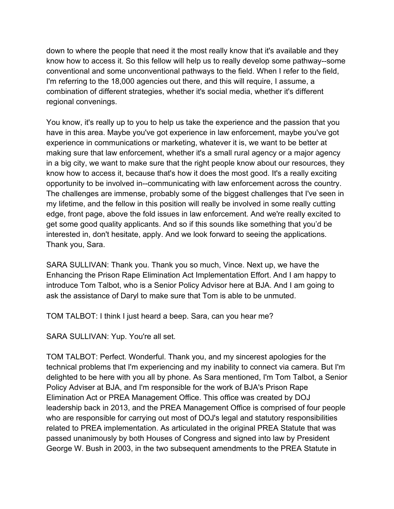down to where the people that need it the most really know that it's available and they know how to access it. So this fellow will help us to really develop some pathway--some conventional and some unconventional pathways to the field. When I refer to the field, I'm referring to the 18,000 agencies out there, and this will require, I assume, a combination of different strategies, whether it's social media, whether it's different regional convenings.

You know, it's really up to you to help us take the experience and the passion that you have in this area. Maybe you've got experience in law enforcement, maybe you've got experience in communications or marketing, whatever it is, we want to be better at making sure that law enforcement, whether it's a small rural agency or a major agency in a big city, we want to make sure that the right people know about our resources, they know how to access it, because that's how it does the most good. It's a really exciting opportunity to be involved in--communicating with law enforcement across the country. The challenges are immense, probably some of the biggest challenges that I've seen in my lifetime, and the fellow in this position will really be involved in some really cutting edge, front page, above the fold issues in law enforcement. And we're really excited to get some good quality applicants. And so if this sounds like something that you'd be interested in, don't hesitate, apply. And we look forward to seeing the applications. Thank you, Sara.

SARA SULLIVAN: Thank you. Thank you so much, Vince. Next up, we have the Enhancing the Prison Rape Elimination Act Implementation Effort. And I am happy to introduce Tom Talbot, who is a Senior Policy Advisor here at BJA. And I am going to ask the assistance of Daryl to make sure that Tom is able to be unmuted.

TOM TALBOT: I think I just heard a beep. Sara, can you hear me?

SARA SULLIVAN: Yup. You're all set.

TOM TALBOT: Perfect. Wonderful. Thank you, and my sincerest apologies for the technical problems that I'm experiencing and my inability to connect via camera. But I'm delighted to be here with you all by phone. As Sara mentioned, I'm Tom Talbot, a Senior Policy Adviser at BJA, and I'm responsible for the work of BJA's Prison Rape Elimination Act or PREA Management Office. This office was created by DOJ leadership back in 2013, and the PREA Management Office is comprised of four people who are responsible for carrying out most of DOJ's legal and statutory responsibilities related to PREA implementation. As articulated in the original PREA Statute that was passed unanimously by both Houses of Congress and signed into law by President George W. Bush in 2003, in the two subsequent amendments to the PREA Statute in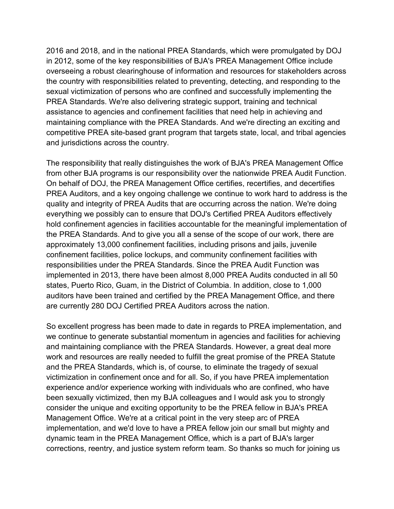2016 and 2018, and in the national PREA Standards, which were promulgated by DOJ in 2012, some of the key responsibilities of BJA's PREA Management Office include overseeing a robust clearinghouse of information and resources for stakeholders across the country with responsibilities related to preventing, detecting, and responding to the sexual victimization of persons who are confined and successfully implementing the PREA Standards. We're also delivering strategic support, training and technical assistance to agencies and confinement facilities that need help in achieving and maintaining compliance with the PREA Standards. And we're directing an exciting and competitive PREA site-based grant program that targets state, local, and tribal agencies and jurisdictions across the country.

The responsibility that really distinguishes the work of BJA's PREA Management Office from other BJA programs is our responsibility over the nationwide PREA Audit Function. On behalf of DOJ, the PREA Management Office certifies, recertifies, and decertifies PREA Auditors, and a key ongoing challenge we continue to work hard to address is the quality and integrity of PREA Audits that are occurring across the nation. We're doing everything we possibly can to ensure that DOJ's Certified PREA Auditors effectively hold confinement agencies in facilities accountable for the meaningful implementation of the PREA Standards. And to give you all a sense of the scope of our work, there are approximately 13,000 confinement facilities, including prisons and jails, juvenile confinement facilities, police lockups, and community confinement facilities with responsibilities under the PREA Standards. Since the PREA Audit Function was implemented in 2013, there have been almost 8,000 PREA Audits conducted in all 50 states, Puerto Rico, Guam, in the District of Columbia. In addition, close to 1,000 auditors have been trained and certified by the PREA Management Office, and there are currently 280 DOJ Certified PREA Auditors across the nation.

So excellent progress has been made to date in regards to PREA implementation, and we continue to generate substantial momentum in agencies and facilities for achieving and maintaining compliance with the PREA Standards. However, a great deal more work and resources are really needed to fulfill the great promise of the PREA Statute and the PREA Standards, which is, of course, to eliminate the tragedy of sexual victimization in confinement once and for all. So, if you have PREA implementation experience and/or experience working with individuals who are confined, who have been sexually victimized, then my BJA colleagues and I would ask you to strongly consider the unique and exciting opportunity to be the PREA fellow in BJA's PREA Management Office. We're at a critical point in the very steep arc of PREA implementation, and we'd love to have a PREA fellow join our small but mighty and dynamic team in the PREA Management Office, which is a part of BJA's larger corrections, reentry, and justice system reform team. So thanks so much for joining us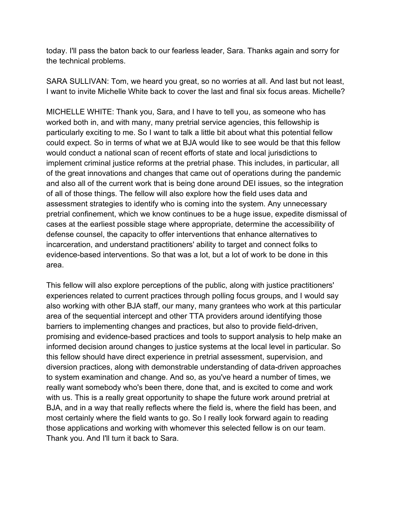today. I'll pass the baton back to our fearless leader, Sara. Thanks again and sorry for the technical problems.

SARA SULLIVAN: Tom, we heard you great, so no worries at all. And last but not least, I want to invite Michelle White back to cover the last and final six focus areas. Michelle?

MICHELLE WHITE: Thank you, Sara, and I have to tell you, as someone who has worked both in, and with many, many pretrial service agencies, this fellowship is particularly exciting to me. So I want to talk a little bit about what this potential fellow could expect. So in terms of what we at BJA would like to see would be that this fellow would conduct a national scan of recent efforts of state and local jurisdictions to implement criminal justice reforms at the pretrial phase. This includes, in particular, all of the great innovations and changes that came out of operations during the pandemic and also all of the current work that is being done around DEI issues, so the integration of all of those things. The fellow will also explore how the field uses data and assessment strategies to identify who is coming into the system. Any unnecessary pretrial confinement, which we know continues to be a huge issue, expedite dismissal of cases at the earliest possible stage where appropriate, determine the accessibility of defense counsel, the capacity to offer interventions that enhance alternatives to incarceration, and understand practitioners' ability to target and connect folks to evidence-based interventions. So that was a lot, but a lot of work to be done in this area.

This fellow will also explore perceptions of the public, along with justice practitioners' experiences related to current practices through polling focus groups, and I would say also working with other BJA staff, our many, many grantees who work at this particular area of the sequential intercept and other TTA providers around identifying those barriers to implementing changes and practices, but also to provide field-driven, promising and evidence-based practices and tools to support analysis to help make an informed decision around changes to justice systems at the local level in particular. So this fellow should have direct experience in pretrial assessment, supervision, and diversion practices, along with demonstrable understanding of data-driven approaches to system examination and change. And so, as you've heard a number of times, we really want somebody who's been there, done that, and is excited to come and work with us. This is a really great opportunity to shape the future work around pretrial at BJA, and in a way that really reflects where the field is, where the field has been, and most certainly where the field wants to go. So I really look forward again to reading those applications and working with whomever this selected fellow is on our team. Thank you. And I'll turn it back to Sara.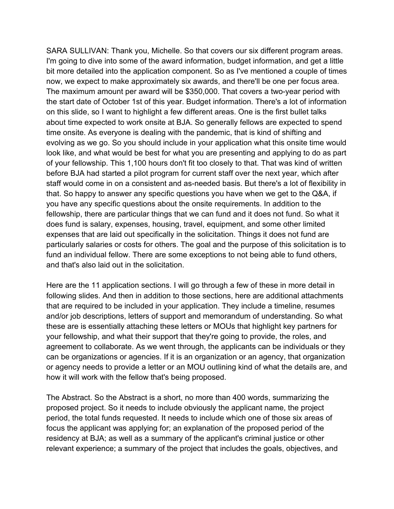SARA SULLIVAN: Thank you, Michelle. So that covers our six different program areas. I'm going to dive into some of the award information, budget information, and get a little bit more detailed into the application component. So as I've mentioned a couple of times now, we expect to make approximately six awards, and there'll be one per focus area. The maximum amount per award will be \$350,000. That covers a two-year period with the start date of October 1st of this year. Budget information. There's a lot of information on this slide, so I want to highlight a few different areas. One is the first bullet talks about time expected to work onsite at BJA. So generally fellows are expected to spend time onsite. As everyone is dealing with the pandemic, that is kind of shifting and evolving as we go. So you should include in your application what this onsite time would look like, and what would be best for what you are presenting and applying to do as part of your fellowship. This 1,100 hours don't fit too closely to that. That was kind of written before BJA had started a pilot program for current staff over the next year, which after staff would come in on a consistent and as-needed basis. But there's a lot of flexibility in that. So happy to answer any specific questions you have when we get to the Q&A, if you have any specific questions about the onsite requirements. In addition to the fellowship, there are particular things that we can fund and it does not fund. So what it does fund is salary, expenses, housing, travel, equipment, and some other limited expenses that are laid out specifically in the solicitation. Things it does not fund are particularly salaries or costs for others. The goal and the purpose of this solicitation is to fund an individual fellow. There are some exceptions to not being able to fund others, and that's also laid out in the solicitation.

Here are the 11 application sections. I will go through a few of these in more detail in following slides. And then in addition to those sections, here are additional attachments that are required to be included in your application. They include a timeline, resumes and/or job descriptions, letters of support and memorandum of understanding. So what these are is essentially attaching these letters or MOUs that highlight key partners for your fellowship, and what their support that they're going to provide, the roles, and agreement to collaborate. As we went through, the applicants can be individuals or they can be organizations or agencies. If it is an organization or an agency, that organization or agency needs to provide a letter or an MOU outlining kind of what the details are, and how it will work with the fellow that's being proposed.

The Abstract. So the Abstract is a short, no more than 400 words, summarizing the proposed project. So it needs to include obviously the applicant name, the project period, the total funds requested. It needs to include which one of those six areas of focus the applicant was applying for; an explanation of the proposed period of the residency at BJA; as well as a summary of the applicant's criminal justice or other relevant experience; a summary of the project that includes the goals, objectives, and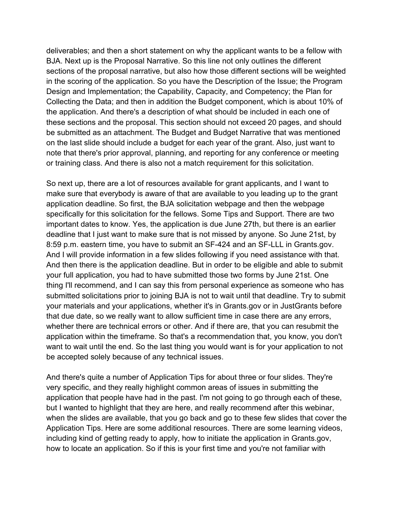deliverables; and then a short statement on why the applicant wants to be a fellow with BJA. Next up is the Proposal Narrative. So this line not only outlines the different sections of the proposal narrative, but also how those different sections will be weighted in the scoring of the application. So you have the Description of the Issue; the Program Design and Implementation; the Capability, Capacity, and Competency; the Plan for Collecting the Data; and then in addition the Budget component, which is about 10% of the application. And there's a description of what should be included in each one of these sections and the proposal. This section should not exceed 20 pages, and should be submitted as an attachment. The Budget and Budget Narrative that was mentioned on the last slide should include a budget for each year of the grant. Also, just want to note that there's prior approval, planning, and reporting for any conference or meeting or training class. And there is also not a match requirement for this solicitation.

So next up, there are a lot of resources available for grant applicants, and I want to make sure that everybody is aware of that are available to you leading up to the grant application deadline. So first, the BJA solicitation webpage and then the webpage specifically for this solicitation for the fellows. Some Tips and Support. There are two important dates to know. Yes, the application is due June 27th, but there is an earlier deadline that I just want to make sure that is not missed by anyone. So June 21st, by 8:59 p.m. eastern time, you have to submit an SF-424 and an SF-LLL in Grants.gov. And I will provide information in a few slides following if you need assistance with that. And then there is the application deadline. But in order to be eligible and able to submit your full application, you had to have submitted those two forms by June 21st. One thing I'll recommend, and I can say this from personal experience as someone who has submitted solicitations prior to joining BJA is not to wait until that deadline. Try to submit your materials and your applications, whether it's in Grants.gov or in JustGrants before that due date, so we really want to allow sufficient time in case there are any errors, whether there are technical errors or other. And if there are, that you can resubmit the application within the timeframe. So that's a recommendation that, you know, you don't want to wait until the end. So the last thing you would want is for your application to not be accepted solely because of any technical issues.

And there's quite a number of Application Tips for about three or four slides. They're very specific, and they really highlight common areas of issues in submitting the application that people have had in the past. I'm not going to go through each of these, but I wanted to highlight that they are here, and really recommend after this webinar, when the slides are available, that you go back and go to these few slides that cover the Application Tips. Here are some additional resources. There are some learning videos, including kind of getting ready to apply, how to initiate the application in Grants.gov, how to locate an application. So if this is your first time and you're not familiar with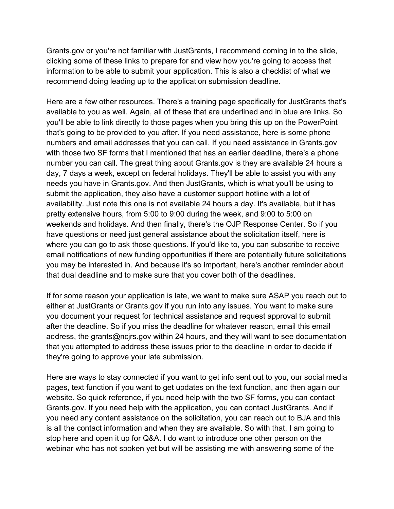Grants.gov or you're not familiar with JustGrants, I recommend coming in to the slide, clicking some of these links to prepare for and view how you're going to access that information to be able to submit your application. This is also a checklist of what we recommend doing leading up to the application submission deadline.

Here are a few other resources. There's a training page specifically for JustGrants that's available to you as well. Again, all of these that are underlined and in blue are links. So you'll be able to link directly to those pages when you bring this up on the PowerPoint that's going to be provided to you after. If you need assistance, here is some phone numbers and email addresses that you can call. If you need assistance in Grants.gov with those two SF forms that I mentioned that has an earlier deadline, there's a phone number you can call. The great thing about Grants.gov is they are available 24 hours a day, 7 days a week, except on federal holidays. They'll be able to assist you with any needs you have in Grants.gov. And then JustGrants, which is what you'll be using to submit the application, they also have a customer support hotline with a lot of availability. Just note this one is not available 24 hours a day. It's available, but it has pretty extensive hours, from 5:00 to 9:00 during the week, and 9:00 to 5:00 on weekends and holidays. And then finally, there's the OJP Response Center. So if you have questions or need just general assistance about the solicitation itself, here is where you can go to ask those questions. If you'd like to, you can subscribe to receive email notifications of new funding opportunities if there are potentially future solicitations you may be interested in. And because it's so important, here's another reminder about that dual deadline and to make sure that you cover both of the deadlines.

If for some reason your application is late, we want to make sure ASAP you reach out to either at JustGrants or Grants.gov if you run into any issues. You want to make sure you document your request for technical assistance and request approval to submit after the deadline. So if you miss the deadline for whatever reason, email this email address, the grants@ncjrs.gov within 24 hours, and they will want to see documentation that you attempted to address these issues prior to the deadline in order to decide if they're going to approve your late submission.

Here are ways to stay connected if you want to get info sent out to you, our social media pages, text function if you want to get updates on the text function, and then again our website. So quick reference, if you need help with the two SF forms, you can contact Grants.gov. If you need help with the application, you can contact JustGrants. And if you need any content assistance on the solicitation, you can reach out to BJA and this is all the contact information and when they are available. So with that, I am going to stop here and open it up for Q&A. I do want to introduce one other person on the webinar who has not spoken yet but will be assisting me with answering some of the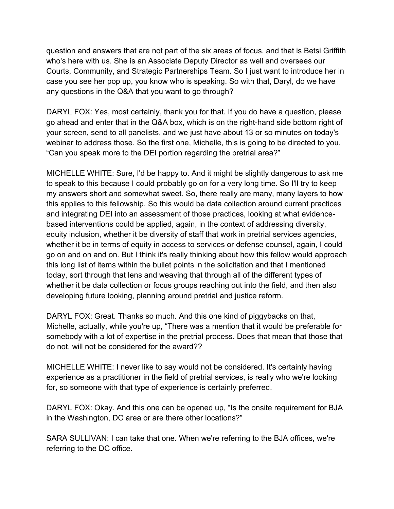question and answers that are not part of the six areas of focus, and that is Betsi Griffith who's here with us. She is an Associate Deputy Director as well and oversees our Courts, Community, and Strategic Partnerships Team. So I just want to introduce her in case you see her pop up, you know who is speaking. So with that, Daryl, do we have any questions in the Q&A that you want to go through?

DARYL FOX: Yes, most certainly, thank you for that. If you do have a question, please go ahead and enter that in the Q&A box, which is on the right-hand side bottom right of your screen, send to all panelists, and we just have about 13 or so minutes on today's webinar to address those. So the first one, Michelle, this is going to be directed to you, "Can you speak more to the DEI portion regarding the pretrial area?"

MICHELLE WHITE: Sure, I'd be happy to. And it might be slightly dangerous to ask me to speak to this because I could probably go on for a very long time. So I'll try to keep my answers short and somewhat sweet. So, there really are many, many layers to how this applies to this fellowship. So this would be data collection around current practices and integrating DEI into an assessment of those practices, looking at what evidencebased interventions could be applied, again, in the context of addressing diversity, equity inclusion, whether it be diversity of staff that work in pretrial services agencies, whether it be in terms of equity in access to services or defense counsel, again, I could go on and on and on. But I think it's really thinking about how this fellow would approach this long list of items within the bullet points in the solicitation and that I mentioned today, sort through that lens and weaving that through all of the different types of whether it be data collection or focus groups reaching out into the field, and then also developing future looking, planning around pretrial and justice reform.

DARYL FOX: Great. Thanks so much. And this one kind of piggybacks on that, Michelle, actually, while you're up, "There was a mention that it would be preferable for somebody with a lot of expertise in the pretrial process. Does that mean that those that do not, will not be considered for the award??

MICHELLE WHITE: I never like to say would not be considered. It's certainly having experience as a practitioner in the field of pretrial services, is really who we're looking for, so someone with that type of experience is certainly preferred.

DARYL FOX: Okay. And this one can be opened up, "Is the onsite requirement for BJA in the Washington, DC area or are there other locations?"

SARA SULLIVAN: I can take that one. When we're referring to the BJA offices, we're referring to the DC office.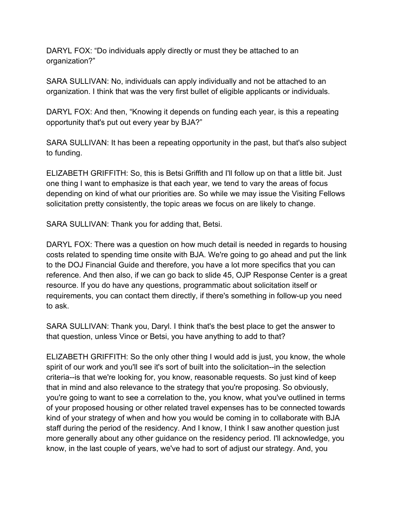DARYL FOX: "Do individuals apply directly or must they be attached to an organization?"

SARA SULLIVAN: No, individuals can apply individually and not be attached to an organization. I think that was the very first bullet of eligible applicants or individuals.

DARYL FOX: And then, "Knowing it depends on funding each year, is this a repeating opportunity that's put out every year by BJA?"

SARA SULLIVAN: It has been a repeating opportunity in the past, but that's also subject to funding.

ELIZABETH GRIFFITH: So, this is Betsi Griffith and I'll follow up on that a little bit. Just one thing I want to emphasize is that each year, we tend to vary the areas of focus depending on kind of what our priorities are. So while we may issue the Visiting Fellows solicitation pretty consistently, the topic areas we focus on are likely to change.

SARA SULLIVAN: Thank you for adding that, Betsi.

DARYL FOX: There was a question on how much detail is needed in regards to housing costs related to spending time onsite with BJA. We're going to go ahead and put the link to the DOJ Financial Guide and therefore, you have a lot more specifics that you can reference. And then also, if we can go back to slide 45, OJP Response Center is a great resource. If you do have any questions, programmatic about solicitation itself or requirements, you can contact them directly, if there's something in follow-up you need to ask.

SARA SULLIVAN: Thank you, Daryl. I think that's the best place to get the answer to that question, unless Vince or Betsi, you have anything to add to that?

ELIZABETH GRIFFITH: So the only other thing I would add is just, you know, the whole spirit of our work and you'll see it's sort of built into the solicitation--in the selection criteria--is that we're looking for, you know, reasonable requests. So just kind of keep that in mind and also relevance to the strategy that you're proposing. So obviously, you're going to want to see a correlation to the, you know, what you've outlined in terms of your proposed housing or other related travel expenses has to be connected towards kind of your strategy of when and how you would be coming in to collaborate with BJA staff during the period of the residency. And I know, I think I saw another question just more generally about any other guidance on the residency period. I'll acknowledge, you know, in the last couple of years, we've had to sort of adjust our strategy. And, you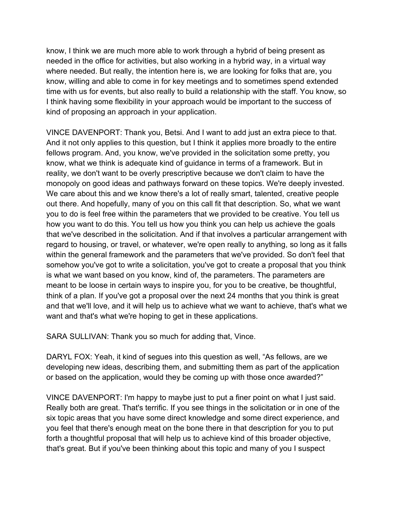know, I think we are much more able to work through a hybrid of being present as needed in the office for activities, but also working in a hybrid way, in a virtual way where needed. But really, the intention here is, we are looking for folks that are, you know, willing and able to come in for key meetings and to sometimes spend extended time with us for events, but also really to build a relationship with the staff. You know, so I think having some flexibility in your approach would be important to the success of kind of proposing an approach in your application.

VINCE DAVENPORT: Thank you, Betsi. And I want to add just an extra piece to that. And it not only applies to this question, but I think it applies more broadly to the entire fellows program. And, you know, we've provided in the solicitation some pretty, you know, what we think is adequate kind of guidance in terms of a framework. But in reality, we don't want to be overly prescriptive because we don't claim to have the monopoly on good ideas and pathways forward on these topics. We're deeply invested. We care about this and we know there's a lot of really smart, talented, creative people out there. And hopefully, many of you on this call fit that description. So, what we want you to do is feel free within the parameters that we provided to be creative. You tell us how you want to do this. You tell us how you think you can help us achieve the goals that we've described in the solicitation. And if that involves a particular arrangement with regard to housing, or travel, or whatever, we're open really to anything, so long as it falls within the general framework and the parameters that we've provided. So don't feel that somehow you've got to write a solicitation, you've got to create a proposal that you think is what we want based on you know, kind of, the parameters. The parameters are meant to be loose in certain ways to inspire you, for you to be creative, be thoughtful, think of a plan. If you've got a proposal over the next 24 months that you think is great and that we'll love, and it will help us to achieve what we want to achieve, that's what we want and that's what we're hoping to get in these applications.

SARA SULLIVAN: Thank you so much for adding that, Vince.

DARYL FOX: Yeah, it kind of segues into this question as well, "As fellows, are we developing new ideas, describing them, and submitting them as part of the application or based on the application, would they be coming up with those once awarded?"

VINCE DAVENPORT: I'm happy to maybe just to put a finer point on what I just said. Really both are great. That's terrific. If you see things in the solicitation or in one of the six topic areas that you have some direct knowledge and some direct experience, and you feel that there's enough meat on the bone there in that description for you to put forth a thoughtful proposal that will help us to achieve kind of this broader objective, that's great. But if you've been thinking about this topic and many of you I suspect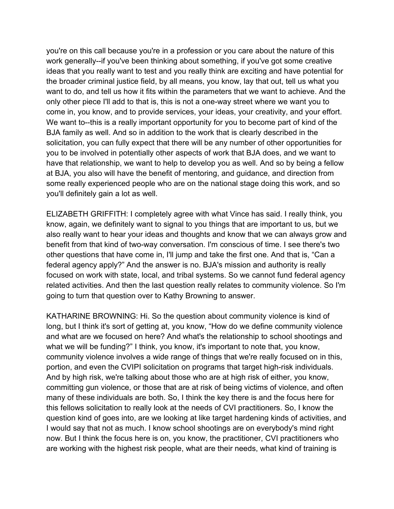you're on this call because you're in a profession or you care about the nature of this work generally--if you've been thinking about something, if you've got some creative ideas that you really want to test and you really think are exciting and have potential for the broader criminal justice field, by all means, you know, lay that out, tell us what you want to do, and tell us how it fits within the parameters that we want to achieve. And the only other piece I'll add to that is, this is not a one-way street where we want you to come in, you know, and to provide services, your ideas, your creativity, and your effort. We want to--this is a really important opportunity for you to become part of kind of the BJA family as well. And so in addition to the work that is clearly described in the solicitation, you can fully expect that there will be any number of other opportunities for you to be involved in potentially other aspects of work that BJA does, and we want to have that relationship, we want to help to develop you as well. And so by being a fellow at BJA, you also will have the benefit of mentoring, and guidance, and direction from some really experienced people who are on the national stage doing this work, and so you'll definitely gain a lot as well.

ELIZABETH GRIFFITH: I completely agree with what Vince has said. I really think, you know, again, we definitely want to signal to you things that are important to us, but we also really want to hear your ideas and thoughts and know that we can always grow and benefit from that kind of two-way conversation. I'm conscious of time. I see there's two other questions that have come in, I'll jump and take the first one. And that is, "Can a federal agency apply?" And the answer is no. BJA's mission and authority is really focused on work with state, local, and tribal systems. So we cannot fund federal agency related activities. And then the last question really relates to community violence. So I'm going to turn that question over to Kathy Browning to answer.

KATHARINE BROWNING: Hi. So the question about community violence is kind of long, but I think it's sort of getting at, you know, "How do we define community violence and what are we focused on here? And what's the relationship to school shootings and what we will be funding?" I think, you know, it's important to note that, you know, community violence involves a wide range of things that we're really focused on in this, portion, and even the CVIPI solicitation on programs that target high-risk individuals. And by high risk, we're talking about those who are at high risk of either, you know, committing gun violence, or those that are at risk of being victims of violence, and often many of these individuals are both. So, I think the key there is and the focus here for this fellows solicitation to really look at the needs of CVI practitioners. So, I know the question kind of goes into, are we looking at like target hardening kinds of activities, and I would say that not as much. I know school shootings are on everybody's mind right now. But I think the focus here is on, you know, the practitioner, CVI practitioners who are working with the highest risk people, what are their needs, what kind of training is